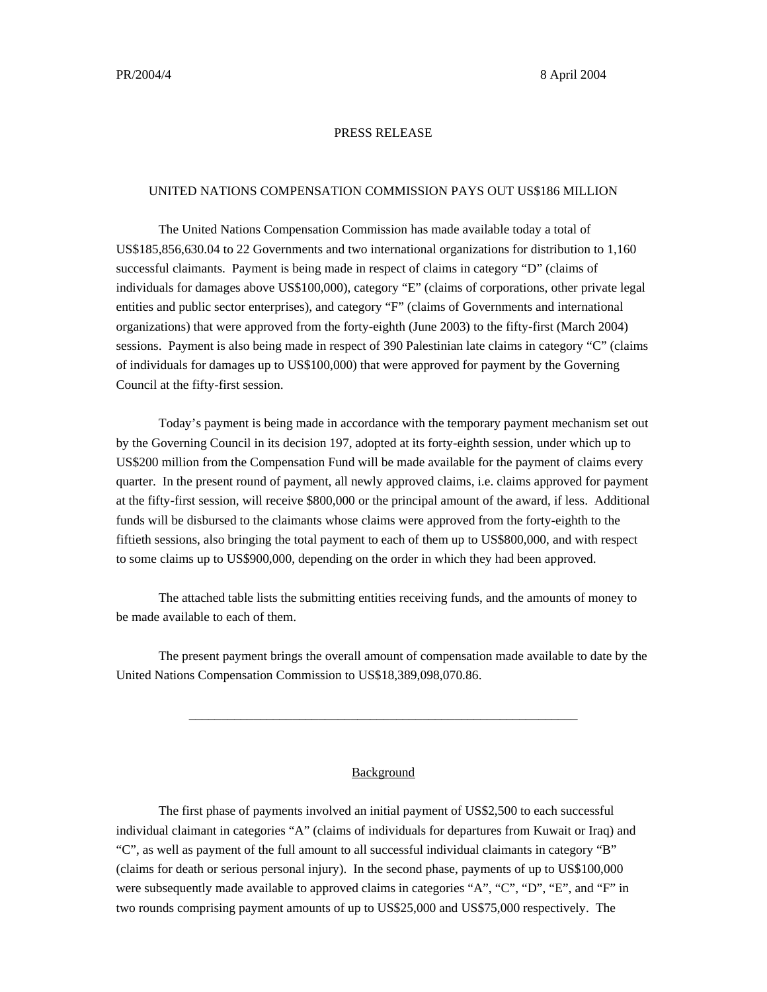## PRESS RELEASE

## UNITED NATIONS COMPENSATION COMMISSION PAYS OUT US\$186 MILLION

The United Nations Compensation Commission has made available today a total of US\$185,856,630.04 to 22 Governments and two international organizations for distribution to 1,160 successful claimants. Payment is being made in respect of claims in category "D" (claims of individuals for damages above US\$100,000), category "E" (claims of corporations, other private legal entities and public sector enterprises), and category "F" (claims of Governments and international organizations) that were approved from the forty-eighth (June 2003) to the fifty-first (March 2004) sessions. Payment is also being made in respect of 390 Palestinian late claims in category "C" (claims of individuals for damages up to US\$100,000) that were approved for payment by the Governing Council at the fifty-first session.

Today's payment is being made in accordance with the temporary payment mechanism set out by the Governing Council in its decision 197, adopted at its forty-eighth session, under which up to US\$200 million from the Compensation Fund will be made available for the payment of claims every quarter. In the present round of payment, all newly approved claims, i.e. claims approved for payment at the fifty-first session, will receive \$800,000 or the principal amount of the award, if less. Additional funds will be disbursed to the claimants whose claims were approved from the forty-eighth to the fiftieth sessions, also bringing the total payment to each of them up to US\$800,000, and with respect to some claims up to US\$900,000, depending on the order in which they had been approved.

The attached table lists the submitting entities receiving funds, and the amounts of money to be made available to each of them.

The present payment brings the overall amount of compensation made available to date by the United Nations Compensation Commission to US\$18,389,098,070.86.

\_\_\_\_\_\_\_\_\_\_\_\_\_\_\_\_\_\_\_\_\_\_\_\_\_\_\_\_\_\_\_\_\_\_\_\_\_\_\_\_\_\_\_\_\_\_\_\_\_\_\_\_\_\_\_\_\_\_\_\_

## Background

The first phase of payments involved an initial payment of US\$2,500 to each successful individual claimant in categories "A" (claims of individuals for departures from Kuwait or Iraq) and "C", as well as payment of the full amount to all successful individual claimants in category "B" (claims for death or serious personal injury). In the second phase, payments of up to US\$100,000 were subsequently made available to approved claims in categories "A", "C", "D", "E", and "F" in two rounds comprising payment amounts of up to US\$25,000 and US\$75,000 respectively. The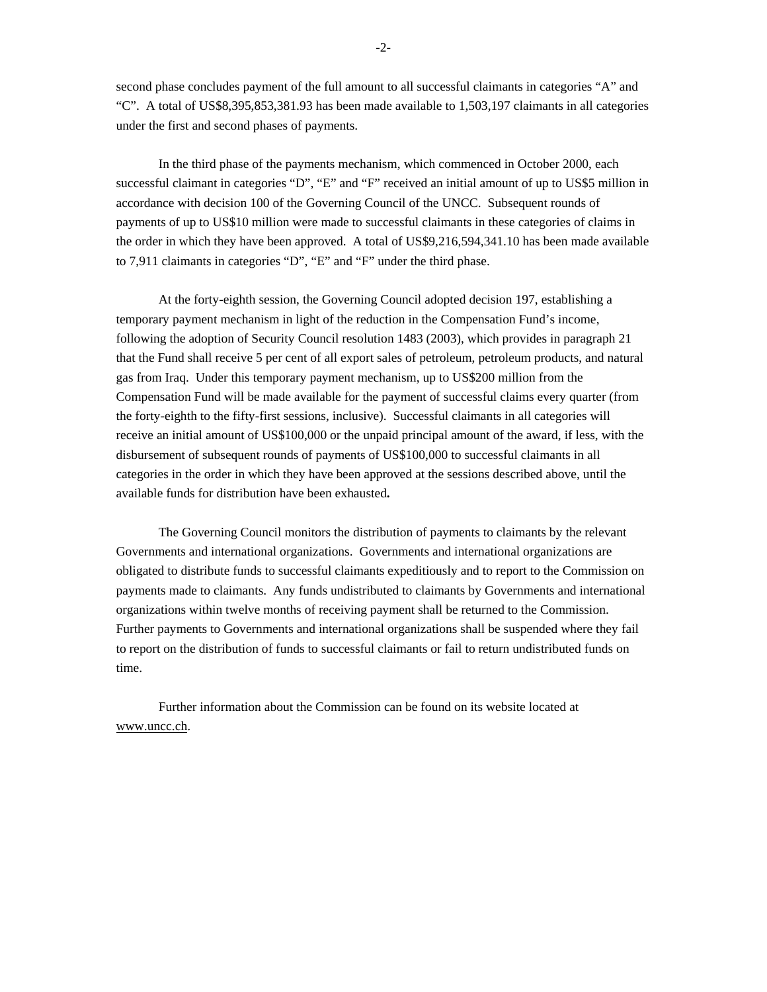second phase concludes payment of the full amount to all successful claimants in categories "A" and "C". A total of US\$8,395,853,381.93 has been made available to 1,503,197 claimants in all categories under the first and second phases of payments.

In the third phase of the payments mechanism, which commenced in October 2000, each successful claimant in categories "D", "E" and "F" received an initial amount of up to US\$5 million in accordance with decision 100 of the Governing Council of the UNCC. Subsequent rounds of payments of up to US\$10 million were made to successful claimants in these categories of claims in the order in which they have been approved. A total of US\$9,216,594,341.10 has been made available to 7,911 claimants in categories "D", "E" and "F" under the third phase.

At the forty-eighth session, the Governing Council adopted decision 197, establishing a temporary payment mechanism in light of the reduction in the Compensation Fund's income, following the adoption of Security Council resolution 1483 (2003), which provides in paragraph 21 that the Fund shall receive 5 per cent of all export sales of petroleum, petroleum products, and natural gas from Iraq. Under this temporary payment mechanism, up to US\$200 million from the Compensation Fund will be made available for the payment of successful claims every quarter (from the forty-eighth to the fifty-first sessions, inclusive). Successful claimants in all categories will receive an initial amount of US\$100,000 or the unpaid principal amount of the award, if less, with the disbursement of subsequent rounds of payments of US\$100,000 to successful claimants in all categories in the order in which they have been approved at the sessions described above, until the available funds for distribution have been exhausted**.**

The Governing Council monitors the distribution of payments to claimants by the relevant Governments and international organizations. Governments and international organizations are obligated to distribute funds to successful claimants expeditiously and to report to the Commission on payments made to claimants. Any funds undistributed to claimants by Governments and international organizations within twelve months of receiving payment shall be returned to the Commission. Further payments to Governments and international organizations shall be suspended where they fail to report on the distribution of funds to successful claimants or fail to return undistributed funds on time.

Further information about the Commission can be found on its website located at www.uncc.ch.